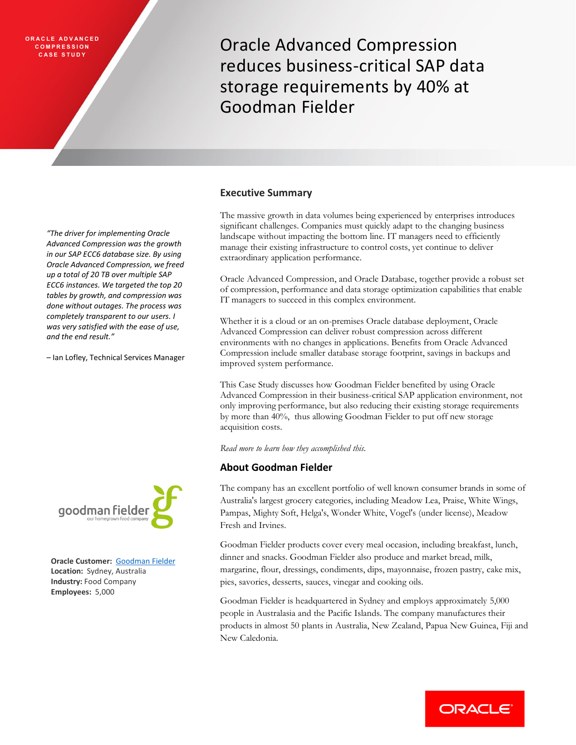# **O R A C L E A D V A N C E D C O M P R E S S I O N**

**COMPRESSION**<br>CASE STUDY **CASE STUDY** reduces business-critical SAP data storage requirements by 40% at Goodman Fielder

### **Executive Summary**

The massive growth in data volumes being experienced by enterprises introduces significant challenges. Companies must quickly adapt to the changing business landscape without impacting the bottom line. IT managers need to efficiently manage their existing infrastructure to control costs, yet continue to deliver extraordinary application performance.

Oracle Advanced Compression, and Oracle Database, together provide a robust set of compression, performance and data storage optimization capabilities that enable IT managers to succeed in this complex environment.

Whether it is a cloud or an on-premises Oracle database deployment, Oracle Advanced Compression can deliver robust compression across different environments with no changes in applications. Benefits from Oracle Advanced Compression include smaller database storage footprint, savings in backups and improved system performance.

This Case Study discusses how Goodman Fielder benefited by using Oracle Advanced Compression in their business-critical SAP application environment, not only improving performance, but also reducing their existing storage requirements by more than 40%, thus allowing Goodman Fielder to put off new storage acquisition costs.

*Read more to learn how they accomplished this.*

# **About Goodman Fielder**

The company has an excellent portfolio of well known consumer brands in some of Australia's largest grocery categories, including Meadow Lea, Praise, White Wings, Pampas, Mighty Soft, Helga's, Wonder White, Vogel's (under license), Meadow Fresh and Irvines.

Goodman Fielder products cover every meal occasion, including breakfast, lunch, dinner and snacks. Goodman Fielder also produce and market bread, milk, margarine, flour, dressings, condiments, dips, mayonnaise, frozen pastry, cake mix, pies, savories, desserts, sauces, vinegar and cooking oils.

Goodman Fielder is headquartered in Sydney and employs approximately 5,000 people in Australasia and the Pacific Islands. The company manufactures their products in almost 50 plants in Australia, New Zealand, Papua New Guinea, Fiji and New Caledonia.



*"The driver for implementing Oracle Advanced Compression was the growth in our SAP ECC6 database size. By using Oracle Advanced Compression, we freed up a total of 20 TB over multiple SAP ECC6 instances. We targeted the top 20 tables by growth, and compression was done without outages. The process was completely transparent to our users. I was very satisfied with the ease of use,* 

– Ian Lofley, Technical Services Manager

*and the end result."*

**Oracle Customer:** [Goodman Fielder](http://www.goodmanfielder.com.au/) **Location:** Sydney, Australia **Industry:** Food Company **Employees:** 5,000

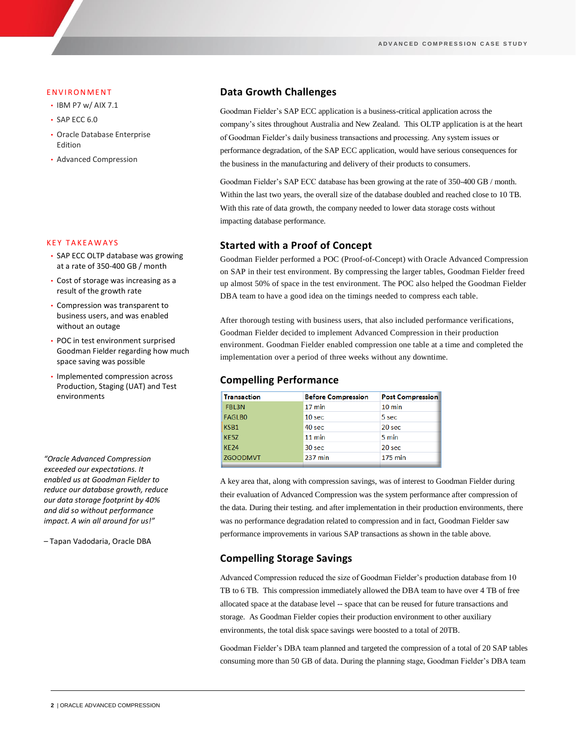#### **ENVIRONMENT**

- IBM P7 w/ AIX 7.1
- SAP ECC 6.0
- Oracle Database Enterprise Edition
- Advanced Compression

#### **KEY TAKEAWAYS**

- SAP ECC OLTP database was growing at a rate of 350-400 GB / month
- Cost of storage was increasing as a result of the growth rate
- Compression was transparent to business users, and was enabled without an outage
- POC in test environment surprised Goodman Fielder regarding how much space saving was possible
- Implemented compression across Production, Staging (UAT) and Test environments

*"Oracle Advanced Compression exceeded our expectations. It enabled us at Goodman Fielder to reduce our database growth, reduce our data storage footprint by 40% and did so without performance impact. A win all around for us!"* 

– Tapan Vadodaria, Oracle DBA

## **Data Growth Challenges**

Goodman Fielder's SAP ECC application is a business-critical application across the company's sites throughout Australia and New Zealand. This OLTP application is at the heart of Goodman Fielder's daily business transactions and processing. Any system issues or performance degradation, of the SAP ECC application, would have serious consequences for the business in the manufacturing and delivery of their products to consumers.

Goodman Fielder's SAP ECC database has been growing at the rate of 350-400 GB / month. Within the last two years, the overall size of the database doubled and reached close to 10 TB. With this rate of data growth, the company needed to lower data storage costs without impacting database performance.

## **Started with a Proof of Concept**

Goodman Fielder performed a POC (Proof-of-Concept) with Oracle Advanced Compression on SAP in their test environment. By compressing the larger tables, Goodman Fielder freed up almost 50% of space in the test environment. The POC also helped the Goodman Fielder DBA team to have a good idea on the timings needed to compress each table.

After thorough testing with business users, that also included performance verifications, Goodman Fielder decided to implement Advanced Compression in their production environment. Goodman Fielder enabled compression one table at a time and completed the implementation over a period of three weeks without any downtime.

## **Compelling Performance**

| <b>Transaction</b> | <b>Before Compression</b> | <b>Post Compression</b> |
|--------------------|---------------------------|-------------------------|
| <b>FBL3N</b>       | $17 \text{ min}$          | $10 \text{ min}$        |
| <b>FAGLBO</b>      | 10 <sub>sec</sub>         | 5 sec                   |
| KSB1               | 40 sec                    | 20 sec                  |
| <b>KE5Z</b>        | $11 \text{ min}$          | 5 min                   |
| <b>KF24</b>        | 30 sec                    | 20 sec                  |
| <b>ZGOODMVT</b>    | 237 min                   | <b>175 min</b>          |
|                    |                           |                         |

A key area that, along with compression savings, was of interest to Goodman Fielder during their evaluation of Advanced Compression was the system performance after compression of the data. During their testing. and after implementation in their production environments, there was no performance degradation related to compression and in fact, Goodman Fielder saw performance improvements in various SAP transactions as shown in the table above.

## **Compelling Storage Savings**

Advanced Compression reduced the size of Goodman Fielder's production database from 10 TB to 6 TB. This compression immediately allowed the DBA team to have over 4 TB of free allocated space at the database level -- space that can be reused for future transactions and storage. As Goodman Fielder copies their production environment to other auxiliary environments, the total disk space savings were boosted to a total of 20TB.

Goodman Fielder's DBA team planned and targeted the compression of a total of 20 SAP tables consuming more than 50 GB of data. During the planning stage, Goodman Fielder's DBA team